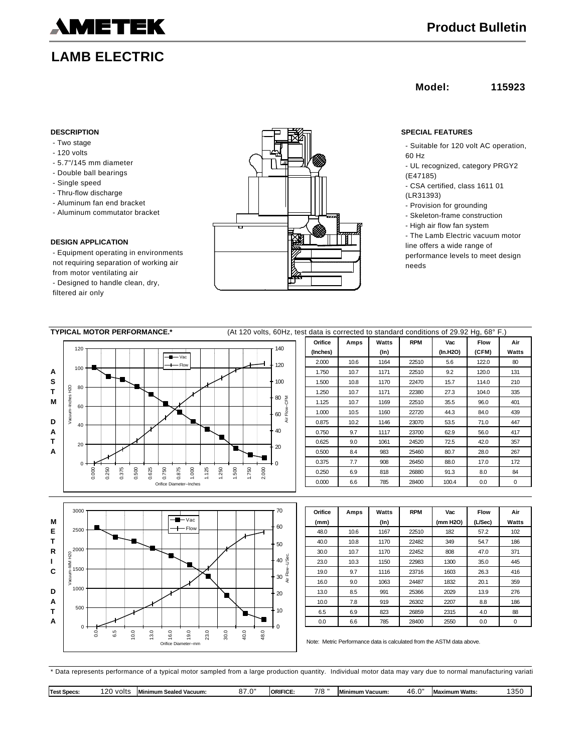

# **LAMB ELECTRIC**

## **Model: 115923**

- Two stage
- 120 volts
- 5.7"/145 mm diameter
- Double ball bearings
- Single speed
- Thru-flow discharge
- Aluminum fan end bracket
- Aluminum commutator bracket

### **DESIGN APPLICATION**

- Equipment operating in environments not requiring separation of working air from motor ventilating air

- Designed to handle clean, dry, filtered air only



- Suitable for 120 volt AC operation, 60 Hz
- UL recognized, category PRGY2 (E47185)
- CSA certified, class 1611 01 (LR31393)
- 
- Provision for grounding - Skeleton-frame construction
- High air flow fan system
- The Lamb Electric vacuum motor line offers a wide range of performance levels to meet design needs

| <b>TYPICAL MOTOR PERFORMANCE.*</b><br>(At 120 volts, 60Hz, test data is corrected to standard conditions of 29.92 Hg, 68° F.) |                                  |          |      |         |            |          |             |       |
|-------------------------------------------------------------------------------------------------------------------------------|----------------------------------|----------|------|---------|------------|----------|-------------|-------|
|                                                                                                                               |                                  | Orifice  | Amps | Watts   | <b>RPM</b> | Vac      | <b>Flow</b> | Air   |
| 120<br>$\blacksquare$ Vac                                                                                                     | 140                              | (Inches) |      | $(\ln)$ |            | (In.H2O) | (CFM)       | Watts |
| - Flow                                                                                                                        | 120                              | 2.000    | 10.6 | 1164    | 22510      | 5.6      | 122.0       | 80    |
| 100<br>A                                                                                                                      |                                  | 1.750    | 10.7 | 1171    | 22510      | 9.2      | 120.0       | 131   |
| s                                                                                                                             | $-100$                           | 1.500    | 10.8 | 1170    | 22470      | 15.7     | 114.0       | 210   |
| 80<br>т                                                                                                                       |                                  | 1.250    | 10.7 | 1171    | 22380      | 27.3     | 104.0       | 335   |
| м<br>60                                                                                                                       | $80\frac{5}{6}$                  | 1.125    | 10.7 | 1169    | 22510      | 35.5     | 96.0        | 401   |
| Vacuum-Inches H2O                                                                                                             | Air Flow<br>60                   | 1.000    | 10.5 | 1160    | 22720      | 44.3     | 84.0        | 439   |
| D<br>40                                                                                                                       |                                  | 0.875    | 10.2 | 1146    | 23070      | 53.5     | 71.0        | 447   |
| Α                                                                                                                             | $-40$                            | 0.750    | 9.7  | 1117    | 23700      | 62.9     | 56.0        | 417   |
| т<br>20                                                                                                                       | 20                               | 0.625    | 9.0  | 1061    | 24520      | 72.5     | 42.0        | 357   |
| A                                                                                                                             |                                  | 0.500    | 8.4  | 983     | 25460      | 80.7     | 28.0        | 267   |
|                                                                                                                               |                                  | 0.375    | 7.7  | 908     | 26450      | 88.0     | 17.0        | 172   |
| 0.500<br>0.000<br>1.000<br>.125<br>0.375<br>0.625<br>0.750<br>0.875<br>0.250                                                  | 2.000<br>1.750<br>1.250<br>1.500 | 0.250    | 6.9  | 818     | 26880      | 91.3     | 8.0         | 84    |
| Orifice Diameter--Inches                                                                                                      |                                  | 0.000    | 6.6  | 785     | 28400      | 100.4    | 0.0         | 0     |
|                                                                                                                               |                                  |          |      |         |            |          |             |       |
|                                                                                                                               |                                  |          |      |         |            |          |             |       |
| 3000                                                                                                                          | 70                               | Orifice  | Amps | Watts   | <b>RPM</b> | Vac      | Flow        | Air   |
| $-$ - $Vac$<br>M                                                                                                              | $+60$                            | (mm)     |      | $(\ln)$ |            | (mm H2O) | (L/Sec)     | Watts |
| $+$ Flow<br>2500<br>Е                                                                                                         |                                  | 48.0     | 10.6 | 1167    | 22510      | 182      | 57.2        | 102   |
| Т                                                                                                                             | $-50$                            | 40.0     | 10.8 | 1170    | 22482      | 349      | 54.7        | 186   |
| 2000<br>R                                                                                                                     |                                  | 30.0     | 10.7 | 1170    | 22452      | 808      | 47.0        | 371   |
| MM H20<br>ı                                                                                                                   | $-40\frac{6}{3}$                 | 23.0     | 10.3 | 1150    | 22983      | 1300     | 35.0        | 445   |
| 1000                                                                                                                          |                                  |          |      |         |            |          |             |       |

**C** 19.0 9.7 1116 23716 1603 26.3 416 **D** 13.0 8.5 991 25366 2029 13.9 276 **A** | | | | | | | | | | | | | | | 10.0 | 7.8 | 919 | 26302 | 2207 | 8.8 | 186 **T** 6.5 6.9 823 26859 2315 4.0 88 **A** 0.0 6.6 785 28400 2550 0.0 0  $\overline{0}$ 500 1000 1500 0.0 6.5 10.0 13.0 16.0 19.0 23.0 30.0 40.0 48.0 Orifice Diameter--mm Vacuum--MM H20  $\overline{0}$ 10 20  $-30\frac{5}{7}$ Air Flow--L/Sec.

| Oritice | Amps | Watts   | <b>RPM</b> | vac      | <b>Flow</b> | Air   |
|---------|------|---------|------------|----------|-------------|-------|
| (mm)    |      | $(\ln)$ |            | (mm H2O) | (L/Sec)     | Watts |
| 48.0    | 10.6 | 1167    | 22510      | 182      | 57.2        | 102   |
| 40.0    | 10.8 | 1170    | 22482      | 349      | 54.7        | 186   |
| 30.0    | 10.7 | 1170    | 22452      | 808      | 47.0        | 371   |
| 23.0    | 10.3 | 1150    | 22983      | 1300     | 35.0        | 445   |
| 19.0    | 9.7  | 1116    | 23716      | 1603     | 26.3        | 416   |
| 16.0    | 9.0  | 1063    | 24487      | 1832     | 20.1        | 359   |
| 13.0    | 8.5  | 991     | 25366      | 2029     | 13.9        | 276   |
| 10.0    | 7.8  | 919     | 26302      | 2207     | 8.8         | 186   |
| 6.5     | 6.9  | 823     | 26859      | 2315     | 4.0         | 88    |
| 0.0     | 6.6  | 785     | 28400      | 2550     | 0.0         | 0     |
|         |      |         |            |          |             |       |

Note: Metric Performance data is calculated from the ASTM data above.

\* Data represents performance of a typical motor sampled from a large production quantity. Individual motor data may vary due to normal manufacturing variati

| --<br>78<br>חר ו<br>ימיתות<br>volts<br>. .<br><b>Minimum</b><br>46.0<br>imum Watts.<br>. .<br>IORII<br><sup>∍</sup> √ Vacuum:<br>. Seale<br>Test<br><b>Specs</b><br>Vacuum:<br>™um ∶<br>l Maxi<br>$\sim$<br>MI<br>. .<br>. IL.<br>. | つに<br>ັບ |
|-------------------------------------------------------------------------------------------------------------------------------------------------------------------------------------------------------------------------------------|----------|
|-------------------------------------------------------------------------------------------------------------------------------------------------------------------------------------------------------------------------------------|----------|